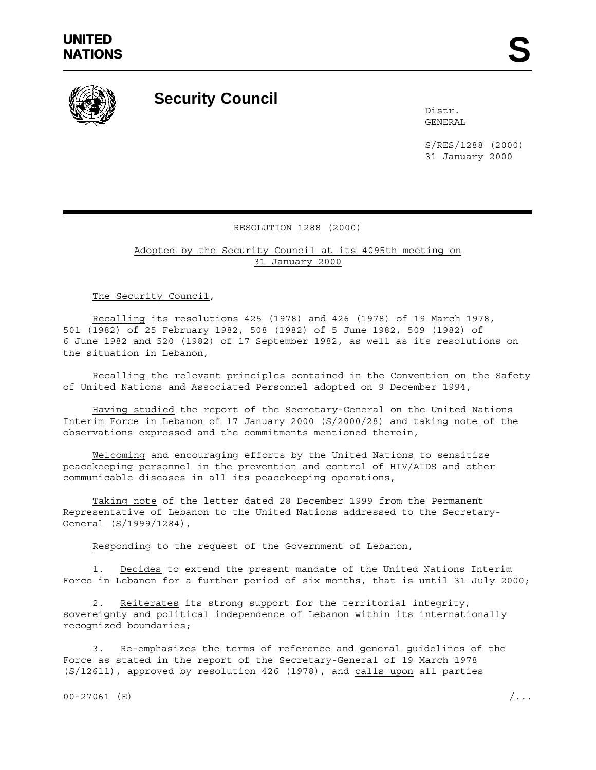

## **Security Council**

Distr. GENERAL

S/RES/1288 (2000) 31 January 2000

## RESOLUTION 1288 (2000)

Adopted by the Security Council at its 4095th meeting on 31 January 2000

The Security Council,

Recalling its resolutions 425 (1978) and 426 (1978) of 19 March 1978, 501 (1982) of 25 February 1982, 508 (1982) of 5 June 1982, 509 (1982) of 6 June 1982 and 520 (1982) of 17 September 1982, as well as its resolutions on the situation in Lebanon,

Recalling the relevant principles contained in the Convention on the Safety of United Nations and Associated Personnel adopted on 9 December 1994,

Having studied the report of the Secretary-General on the United Nations Interim Force in Lebanon of 17 January 2000 (S/2000/28) and taking note of the observations expressed and the commitments mentioned therein,

Welcoming and encouraging efforts by the United Nations to sensitize peacekeeping personnel in the prevention and control of HIV/AIDS and other communicable diseases in all its peacekeeping operations,

Taking note of the letter dated 28 December 1999 from the Permanent Representative of Lebanon to the United Nations addressed to the Secretary-General (S/1999/1284),

Responding to the request of the Government of Lebanon,

1. Decides to extend the present mandate of the United Nations Interim Force in Lebanon for a further period of six months, that is until 31 July 2000;

2. Reiterates its strong support for the territorial integrity, sovereignty and political independence of Lebanon within its internationally recognized boundaries;

3. Re-emphasizes the terms of reference and general guidelines of the Force as stated in the report of the Secretary-General of 19 March 1978 (S/12611), approved by resolution 426 (1978), and calls upon all parties

00-27061 (E)  $/$ ...